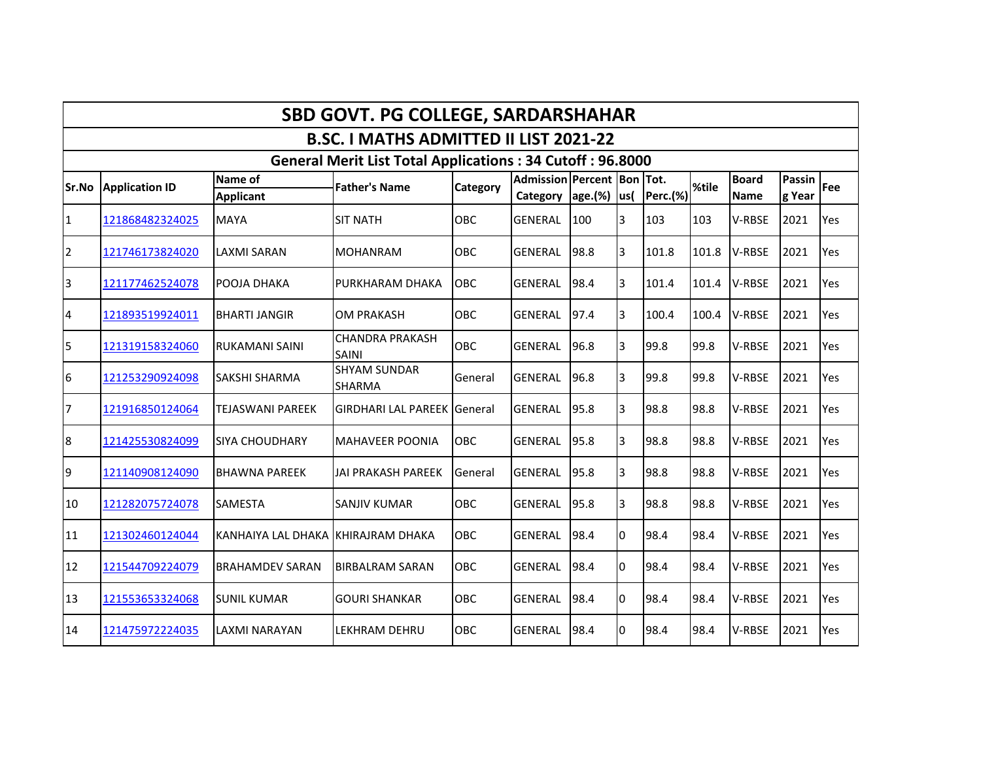|                |                       |                                     | <b>SBD GOVT. PG COLLEGE, SARDARSHAHAR</b>                        |                |                                                |      |      |          |       |                             |                         |     |
|----------------|-----------------------|-------------------------------------|------------------------------------------------------------------|----------------|------------------------------------------------|------|------|----------|-------|-----------------------------|-------------------------|-----|
|                |                       |                                     | <b>B.SC. I MATHS ADMITTED II LIST 2021-22</b>                    |                |                                                |      |      |          |       |                             |                         |     |
|                |                       |                                     | <b>General Merit List Total Applications: 34 Cutoff: 96.8000</b> |                |                                                |      |      |          |       |                             |                         |     |
| <b>Sr.No</b>   | <b>Application ID</b> | Name of<br>Applicant                | <b>Father's Name</b>                                             | Category       | Admission Percent Bon Tot.<br>Category age.(%) |      | lus( | Perc.(%) | %tile | <b>Board</b><br><b>Name</b> | <b>Passin</b><br>g Year | Fee |
| $\mathbf{1}$   | 121868482324025       | <b>MAYA</b>                         | <b>SIT NATH</b>                                                  | <b>OBC</b>     | <b>GENERAL</b>                                 | 100  | 3    | 103      | 103   | V-RBSE                      | 2021                    | Yes |
| $\overline{2}$ | 121746173824020       | LAXMI SARAN                         | <b>MOHANRAM</b>                                                  | OBC            | <b>GENERAL</b>                                 | 98.8 | 3    | 101.8    | 101.8 | V-RBSE                      | 2021                    | Yes |
| 3              | 121177462524078       | POOJA DHAKA                         | PURKHARAM DHAKA                                                  | <b>OBC</b>     | <b>GENERAL</b>                                 | 98.4 | 3    | 101.4    | 101.4 | V-RBSE                      | 2021                    | Yes |
| $\overline{4}$ | 121893519924011       | <b>BHARTI JANGIR</b>                | <b>OM PRAKASH</b>                                                | OBC            | <b>GENERAL</b>                                 | 97.4 | 3    | 100.4    | 100.4 | V-RBSE                      | 2021                    | Yes |
| 5              | 121319158324060       | RUKAMANI SAINI                      | <b>CHANDRA PRAKASH</b><br><b>SAINI</b>                           | OBC            | <b>GENERAL</b>                                 | 96.8 | 3    | 99.8     | 99.8  | V-RBSE                      | 2021                    | Yes |
| 6              | 121253290924098       | <b>SAKSHI SHARMA</b>                | <b>SHYAM SUNDAR</b><br><b>SHARMA</b>                             | General        | <b>GENERAL</b>                                 | 96.8 | 3    | 99.8     | 99.8  | V-RBSE                      | 2021                    | Yes |
| 7              | 121916850124064       | <b>TEJASWANI PAREEK</b>             | <b>GIRDHARI LAL PAREEK General</b>                               |                | <b>GENERAL</b>                                 | 95.8 | 3    | 98.8     | 98.8  | V-RBSE                      | 2021                    | Yes |
| 8              | 121425530824099       | <b>SIYA CHOUDHARY</b>               | <b>MAHAVEER POONIA</b>                                           | OBC            | <b>GENERAL</b>                                 | 95.8 | 3    | 98.8     | 98.8  | V-RBSE                      | 2021                    | Yes |
| $\overline{9}$ | 121140908124090       | <b>BHAWNA PAREEK</b>                | <b>JAI PRAKASH PAREEK</b>                                        | <b>General</b> | <b>GENERAL</b>                                 | 95.8 | 3    | 98.8     | 98.8  | V-RBSE                      | 2021                    | Yes |
| 10             | 121282075724078       | <b>SAMESTA</b>                      | <b>SANJIV KUMAR</b>                                              | OBC            | <b>GENERAL</b>                                 | 95.8 | 3    | 98.8     | 98.8  | V-RBSE                      | 2021                    | Yes |
| 11             | 121302460124044       | KANHAIYA LAL DHAKA IKHIRAJRAM DHAKA |                                                                  | OBC            | <b>GENERAL</b>                                 | 98.4 | lo.  | 98.4     | 98.4  | V-RBSE                      | 2021                    | Yes |
| 12             | 121544709224079       | <b>BRAHAMDEV SARAN</b>              | <b>BIRBALRAM SARAN</b>                                           | <b>OBC</b>     | <b>GENERAL</b>                                 | 98.4 | l0.  | 98.4     | 98.4  | V-RBSE                      | 2021                    | Yes |
| 13             | 121553653324068       | <b>SUNIL KUMAR</b>                  | <b>GOURI SHANKAR</b>                                             | OBC            | <b>GENERAL</b>                                 | 98.4 | lo.  | 98.4     | 98.4  | V-RBSE                      | 2021                    | Yes |
| 14             | 121475972224035       | LAXMI NARAYAN                       | LEKHRAM DEHRU                                                    | <b>OBC</b>     | <b>GENERAL</b>                                 | 98.4 | 0    | 98.4     | 98.4  | V-RBSE                      | 2021                    | Yes |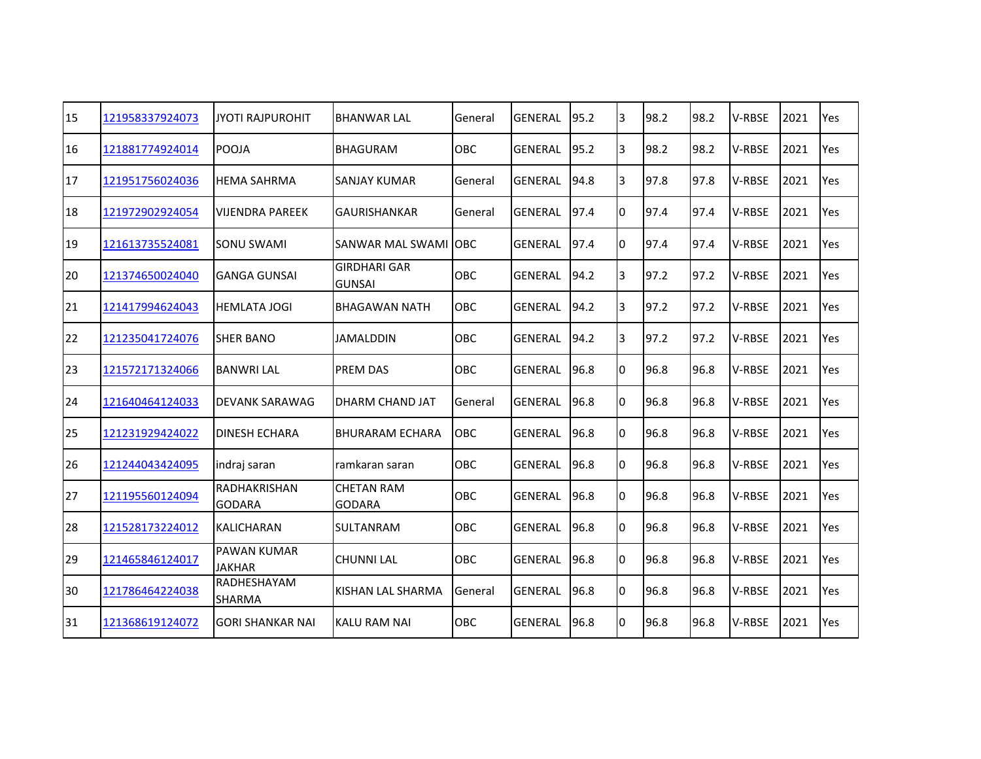| 15 | 121958337924073 | <b>JYOTI RAJPUROHIT</b>             | <b>BHANWAR LAL</b>                   | General    | <b>GENERAL</b> | 95.2 | 3              | 98.2 | 98.2 | V-RBSE        | 2021 | Yes |
|----|-----------------|-------------------------------------|--------------------------------------|------------|----------------|------|----------------|------|------|---------------|------|-----|
| 16 | 121881774924014 | <b>POOJA</b>                        | <b>BHAGURAM</b>                      | <b>OBC</b> | <b>GENERAL</b> | 95.2 | $\overline{3}$ | 98.2 | 98.2 | V-RBSE        | 2021 | Yes |
| 17 | 121951756024036 | <b>HEMA SAHRMA</b>                  | <b>SANJAY KUMAR</b>                  | General    | GENERAL        | 94.8 | 3              | 97.8 | 97.8 | V-RBSE        | 2021 | Yes |
| 18 | 121972902924054 | VIJENDRA PAREEK                     | <b>GAURISHANKAR</b>                  | General    | <b>GENERAL</b> | 97.4 | lo.            | 97.4 | 97.4 | V-RBSE        | 2021 | Yes |
| 19 | 121613735524081 | <b>SONU SWAMI</b>                   | <b>SANWAR MAL SWAMI</b>              | <b>OBC</b> | <b>GENERAL</b> | 97.4 | lo.            | 97.4 | 97.4 | V-RBSE        | 2021 | Yes |
| 20 | 121374650024040 | IGANGA GUNSAI                       | <b>GIRDHARI GAR</b><br><b>GUNSAI</b> | OBC        | <b>GENERAL</b> | 94.2 | 3              | 97.2 | 97.2 | V-RBSE        | 2021 | Yes |
| 21 | 121417994624043 | <b>HEMLATA JOGI</b>                 | BHAGAWAN NATH                        | OBC        | <b>GENERAL</b> | 94.2 | 3              | 97.2 | 97.2 | <b>V-RBSE</b> | 2021 | Yes |
| 22 | 121235041724076 | <b>SHER BANO</b>                    | <b>JAMALDDIN</b>                     | OBC        | <b>GENERAL</b> | 94.2 | 3              | 97.2 | 97.2 | V-RBSE        | 2021 | Yes |
| 23 | 121572171324066 | <b>BANWRI LAL</b>                   | <b>PREM DAS</b>                      | OBC        | <b>GENERAL</b> | 96.8 | 10             | 96.8 | 96.8 | V-RBSE        | 2021 | Yes |
| 24 | 121640464124033 | <b>DEVANK SARAWAG</b>               | DHARM CHAND JAT                      | General    | <b>GENERAL</b> | 96.8 | Iо             | 96.8 | 96.8 | V-RBSE        | 2021 | Yes |
| 25 | 121231929424022 | <b>DINESH ECHARA</b>                | <b>BHURARAM ECHARA</b>               | <b>OBC</b> | <b>GENERAL</b> | 96.8 | 0              | 96.8 | 96.8 | V-RBSE        | 2021 | Yes |
| 26 | 121244043424095 | indraj saran                        | ramkaran saran                       | OBC        | <b>GENERAL</b> | 96.8 | l0.            | 96.8 | 96.8 | <b>V-RBSE</b> | 2021 | Yes |
| 27 | 121195560124094 | RADHAKRISHAN<br><b>GODARA</b>       | <b>CHETAN RAM</b><br><b>GODARA</b>   | OBC        | <b>GENERAL</b> | 96.8 | 0              | 96.8 | 96.8 | <b>V-RBSE</b> | 2021 | Yes |
| 28 | 121528173224012 | <b>KALICHARAN</b>                   | <b>SULTANRAM</b>                     | OBC        | <b>GENERAL</b> | 96.8 | 0              | 96.8 | 96.8 | V-RBSE        | 2021 | Yes |
| 29 | 121465846124017 | <b>PAWAN KUMAR</b><br><b>JAKHAR</b> | <b>CHUNNI LAL</b>                    | OBC        | <b>GENERAL</b> | 96.8 | Iо             | 96.8 | 96.8 | V-RBSE        | 2021 | Yes |
| 30 | 121786464224038 | RADHESHAYAM<br>SHARMA               | KISHAN LAL SHARMA                    | General    | <b>GENERAL</b> | 96.8 | Iо             | 96.8 | 96.8 | V-RBSE        | 2021 | Yes |
| 31 | 121368619124072 | <b>GORI SHANKAR NAI</b>             | <b>KALU RAM NAI</b>                  | OBC        | <b>GENERAL</b> | 96.8 | 0              | 96.8 | 96.8 | V-RBSE        | 2021 | Yes |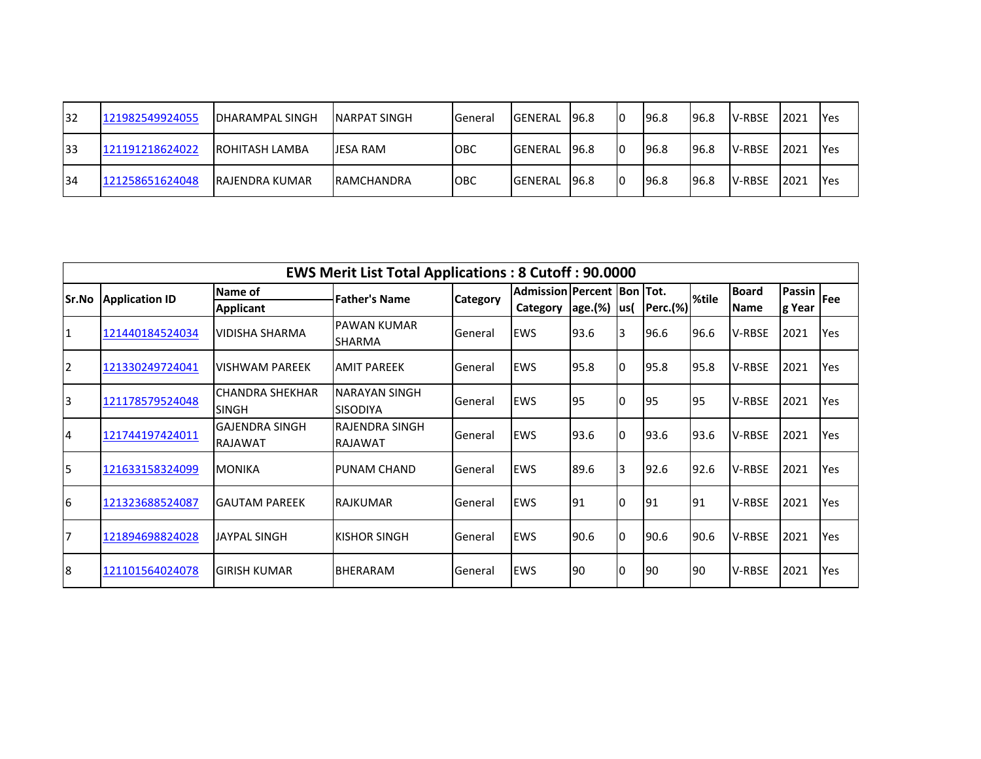| 132 | 121982549924055 | <b>IDHARAMPAL SINGH</b> | INARPAT SINGH      | <b>General</b> | <b>GENERAL</b> | 96.8         | 10 | 196.8 | 196.8 | <b>V-RBSE</b>  | 2021 | <b>IYes</b> |
|-----|-----------------|-------------------------|--------------------|----------------|----------------|--------------|----|-------|-------|----------------|------|-------------|
| 133 | 121191218624022 | <b>IROHITASH LAMBA</b>  | <b>IJESA RAM</b>   | <b>IOBC</b>    | <b>GENERAL</b> | 96.8         | 10 | 196.8 | 196.8 | <b>IV-RBSE</b> | 2021 | <b>IYes</b> |
| 134 | 121258651624048 | IRAJENDRA KUMAR         | <b>IRAMCHANDRA</b> | <b>OBC</b>     | <b>GENERAL</b> | <b>196.8</b> | 10 | 196.8 | 196.8 | <b>V-RBSE</b>  | 2021 | <b>IYes</b> |

|                |                       |                                         | <b>EWS Merit List Total Applications: 8 Cutoff: 90.0000</b> |                 |                                  |         |      |             |       |               |        |            |
|----------------|-----------------------|-----------------------------------------|-------------------------------------------------------------|-----------------|----------------------------------|---------|------|-------------|-------|---------------|--------|------------|
| <b>Sr.No</b>   | <b>Application ID</b> | Name of                                 | <b>Father's Name</b>                                        | <b>Category</b> | Admission   Percent   Bon   Tot. |         |      |             | %tile | <b>Board</b>  | Passin | <b>Fee</b> |
|                |                       | <b>Applicant</b>                        |                                                             |                 | Category                         | age.(%) | lus( | $Perc.$ (%) |       | <b>Name</b>   | g Year |            |
| 1              | 121440184524034       | <b>VIDISHA SHARMA</b>                   | <b>PAWAN KUMAR</b><br>ISHARMA                               | General         | <b>EWS</b>                       | 93.6    | l3   | 96.6        | 96.6  | V-RBSE        | 2021   | Yes        |
| $\overline{2}$ | 121330249724041       | IVISHWAM PAREEK                         | <b>AMIT PAREEK</b>                                          | General         | <b>EWS</b>                       | 95.8    | I٥   | 95.8        | 95.8  | V-RBSE        | 2021   | Yes        |
| 3              | 121178579524048       | ICHANDRA SHEKHAR<br><b>SINGH</b>        | <b>NARAYAN SINGH</b><br><b>SISODIYA</b>                     | General         | <b>EWS</b>                       | 95      | Iо   | 195         | 195   | V-RBSE        | 2021   | <b>Yes</b> |
| 4              | 121744197424011       | <b>GAJENDRA SINGH</b><br><b>RAJAWAT</b> | <b>RAJENDRA SINGH</b><br><b>RAJAWAT</b>                     | General         | <b>EWS</b>                       | 93.6    | 10   | 93.6        | 93.6  | <b>V-RBSE</b> | 2021   | <b>Yes</b> |
| 5              | 121633158324099       | <b>MONIKA</b>                           | <b>PUNAM CHAND</b>                                          | General         | <b>EWS</b>                       | 89.6    | 13   | 92.6        | 92.6  | <b>V-RBSE</b> | 2021   | <b>Yes</b> |
| 6              | 121323688524087       | <b>GAUTAM PAREEK</b>                    | IRAJKUMAR                                                   | General         | <b>EWS</b>                       | 91      | I٥   | 191         | 191   | <b>V-RBSE</b> | 2021   | Yes        |
| 7              | 121894698824028       | <b>JAYPAL SINGH</b>                     | <b>KISHOR SINGH</b>                                         | General         | <b>EWS</b>                       | 90.6    | 10   | 90.6        | 90.6  | <b>V-RBSE</b> | 2021   | Yes        |
| 8              | 121101564024078       | İGIRISH KUMAR                           | <b>BHERARAM</b>                                             | General         | <b>EWS</b>                       | 90      | IO   | I90         | 190   | <b>V-RBSE</b> | 2021   | <b>Yes</b> |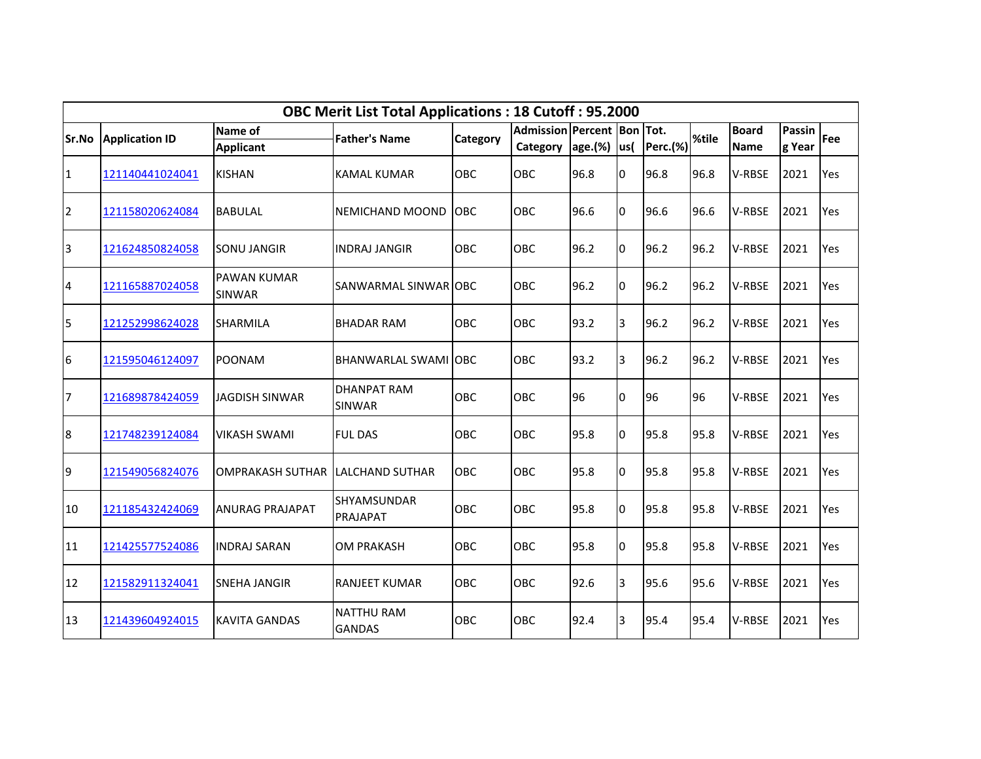|                         |                       |                              | <b>OBC Merit List Total Applications: 18 Cutoff: 95.2000</b> |            |                                        |                   |                |                 |       |                             |                         |     |
|-------------------------|-----------------------|------------------------------|--------------------------------------------------------------|------------|----------------------------------------|-------------------|----------------|-----------------|-------|-----------------------------|-------------------------|-----|
| Sr.No                   | <b>Application ID</b> | Name of<br><b>Applicant</b>  | <b>Father's Name</b>                                         | Category   | Admission Percent Bon Tot.<br>Category | $ age.(%)$ $ us($ |                | <b>Perc.(%)</b> | %tile | <b>Board</b><br><b>Name</b> | <b>Passin</b><br>g Year | Fee |
| $\mathbf{1}$            | 121140441024041       | <b>KISHAN</b>                | KAMAL KUMAR                                                  | <b>OBC</b> | OBC                                    | 96.8              | 0              | 96.8            | 96.8  | V-RBSE                      | 2021                    | Yes |
| $\overline{2}$          | 121158020624084       | <b>BABULAL</b>               | INEMICHAND MOOND                                             | <b>OBC</b> | OBC                                    | 96.6              | 0              | 96.6            | 96.6  | V-RBSE                      | 2021                    | Yes |
| $\overline{\mathbf{3}}$ | 121624850824058       | <b>SONU JANGIR</b>           | <b>INDRAJ JANGIR</b>                                         | OBC        | OBC                                    | 96.2              | l0             | 96.2            | 96.2  | V-RBSE                      | 2021                    | Yes |
| $\overline{4}$          | 121165887024058       | <b>PAWAN KUMAR</b><br>SINWAR | SANWARMAL SINWAR OBC                                         |            | OBC                                    | 96.2              | $\overline{0}$ | 96.2            | 96.2  | V-RBSE                      | 2021                    | Yes |
| 5                       | 121252998624028       | <b>SHARMILA</b>              | <b>BHADAR RAM</b>                                            | <b>OBC</b> | OBC                                    | 93.2              | 3              | 96.2            | 96.2  | V-RBSE                      | 2021                    | Yes |
| $6\phantom{.}6$         | 121595046124097       | <b>POONAM</b>                | BHANWARLAL SWAMI OBC                                         |            | OBC                                    | 93.2              | 3              | 96.2            | 96.2  | V-RBSE                      | 2021                    | Yes |
| $\overline{7}$          | 121689878424059       | <b>JAGDISH SINWAR</b>        | <b>DHANPAT RAM</b><br><b>SINWAR</b>                          | <b>OBC</b> | OBC                                    | 96                | 0              | 96              | 96    | V-RBSE                      | 2021                    | Yes |
| 8                       | 121748239124084       | <b>VIKASH SWAMI</b>          | <b>FUL DAS</b>                                               | <b>OBC</b> | OBC                                    | 95.8              | 0              | 95.8            | 95.8  | V-RBSE                      | 2021                    | Yes |
| 9                       | 121549056824076       | <b>OMPRAKASH SUTHAR</b>      | <b>LALCHAND SUTHAR</b>                                       | OBC        | OBC                                    | 95.8              | 0              | 95.8            | 95.8  | V-RBSE                      | 2021                    | Yes |
| 10                      | 121185432424069       | <b>ANURAG PRAJAPAT</b>       | <b>SHYAMSUNDAR</b><br>PRAJAPAT                               | <b>OBC</b> | OBC                                    | 95.8              | $\overline{0}$ | 95.8            | 95.8  | V-RBSE                      | 2021                    | Yes |
| 11                      | 121425577524086       | <b>INDRAJ SARAN</b>          | <b>OM PRAKASH</b>                                            | OBC        | OBC                                    | 95.8              | $\overline{0}$ | 95.8            | 95.8  | V-RBSE                      | 2021                    | Yes |
| 12                      | 121582911324041       | <b>SNEHA JANGIR</b>          | <b>RANJEET KUMAR</b>                                         | OBC        | OBC                                    | 92.6              | 3              | 95.6            | 95.6  | V-RBSE                      | 2021                    | Yes |
| 13                      | 121439604924015       | <b>KAVITA GANDAS</b>         | <b>NATTHU RAM</b><br><b>GANDAS</b>                           | <b>OBC</b> | OBC                                    | 92.4              | 3              | 95.4            | 95.4  | V-RBSE                      | 2021                    | Yes |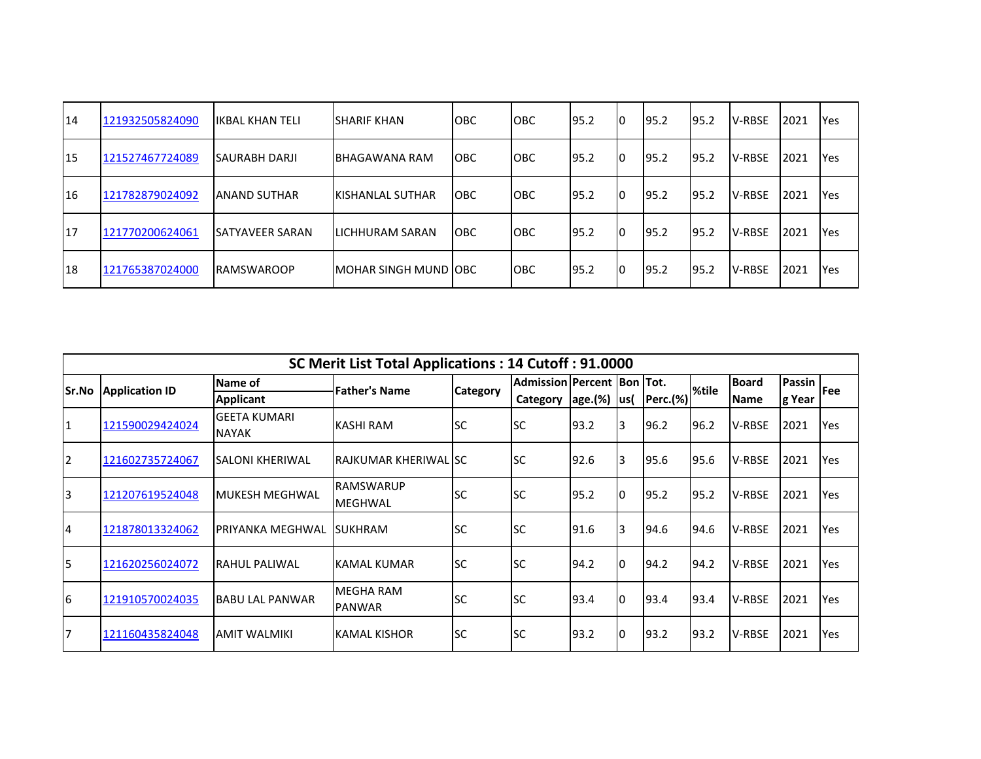| 14             | 121932505824090 | <b>IIKBAL KHAN TELI</b> | <b>SHARIF KHAN</b>     | <b>IOBC</b> | <b>OBC</b> | 95.2 | 10 | 95.2  | 95.2 | <b>V-RBSE</b> | 2021 | <b>IYes</b> |
|----------------|-----------------|-------------------------|------------------------|-------------|------------|------|----|-------|------|---------------|------|-------------|
| <sup>15</sup>  | 121527467724089 | <b>SAURABH DARJI</b>    | BHAGAWANA RAM          | <b>IOBC</b> | OBC        | 95.2 | IО | 95.2  | 95.2 | <b>V-RBSE</b> | 2021 | <b>Yes</b>  |
| <sup>116</sup> | 121782879024092 | <b>JANAND SUTHAR</b>    | IKISHANLAL SUTHAR      | <b>IOBC</b> | OBC        | 95.2 | 10 | 195.2 | 95.2 | <b>V-RBSE</b> | 2021 | <b>IYes</b> |
| I17            | 121770200624061 | <b>ISATYAVEER SARAN</b> | ILICHHURAM SARAN       | <b>IOBC</b> | <b>OBC</b> | 95.2 | I0 | 195.2 | 95.2 | <b>V-RBSE</b> | 2021 | <b>Yes</b>  |
| <b>18</b>      | 121765387024000 | <b>IRAMSWAROOP</b>      | IMOHAR SINGH MUND IOBC |             | <b>OBC</b> | 95.2 | I0 | 95.2  | 95.2 | <b>V-RBSE</b> | 2021 | <b>Yes</b>  |

|                |                       |                                     | SC Merit List Total Applications: 14 Cutoff: 91.0000 |                 |                              |                   |    |          |       |               |               |             |
|----------------|-----------------------|-------------------------------------|------------------------------------------------------|-----------------|------------------------------|-------------------|----|----------|-------|---------------|---------------|-------------|
| Sr.No          | <b>Application ID</b> | Name of                             | <b>Father's Name</b>                                 | <b>Category</b> | Admission Percent  Bon  Tot. |                   |    |          | %tile | <b>Board</b>  | <b>Passin</b> | <b>IFee</b> |
|                |                       | <b>Applicant</b>                    |                                                      |                 | Category                     | $ age.(%)$ $ us($ |    | Perc.(%) |       | <b>Name</b>   | g Year        |             |
| 1              | 121590029424024       | <b>GEETA KUMARI</b><br><b>NAYAK</b> | KASHI RAM                                            | lsc             | <b>SC</b>                    | 93.2              | 3  | 96.2     | 96.2  | <b>V-RBSE</b> | 2021          | Yes         |
| $\overline{2}$ | 121602735724067       | SALONI KHERIWAL                     | IRAJKUMAR KHERIWAL ISC                               |                 | lsc                          | 92.6              | 3  | 95.6     | 95.6  | V-RBSE        | 2021          | Yes         |
| $\overline{3}$ | 121207619524048       | MUKESH MEGHWAL                      | <b>RAMSWARUP</b><br><b>MEGHWAL</b>                   | <b>SC</b>       | lsc                          | 95.2              | I0 | 95.2     | 95.2  | <b>V-RBSE</b> | 2021          | Yes         |
| $\overline{4}$ | 121878013324062       | IPRIYANKA MEGHWAL                   | <b>SUKHRAM</b>                                       | lsc             | <b>SC</b>                    | 91.6              | 3  | 94.6     | 94.6  | V-RBSE        | 2021          | Yes         |
| 5              | 121620256024072       | RAHUL PALIWAL                       | <b>KAMAL KUMAR</b>                                   | lsc             | lsc                          | 94.2              | I٥ | 94.2     | 94.2  | V-RBSE        | 2021          | Yes         |
| 6              | 121910570024035       | <b>BABU LAL PANWAR</b>              | <b>MEGHA RAM</b><br><b>PANWAR</b>                    | lsc             | <b>SC</b>                    | 93.4              | I0 | 93.4     | 93.4  | <b>V-RBSE</b> | 2021          | <b>Yes</b>  |
| 17             | 121160435824048       | <b>AMIT WALMIKI</b>                 | IKAMAL KISHOR                                        | <b>SC</b>       | <b>SC</b>                    | 93.2              | I0 | 93.2     | 93.2  | <b>V-RBSE</b> | 2021          | Yes         |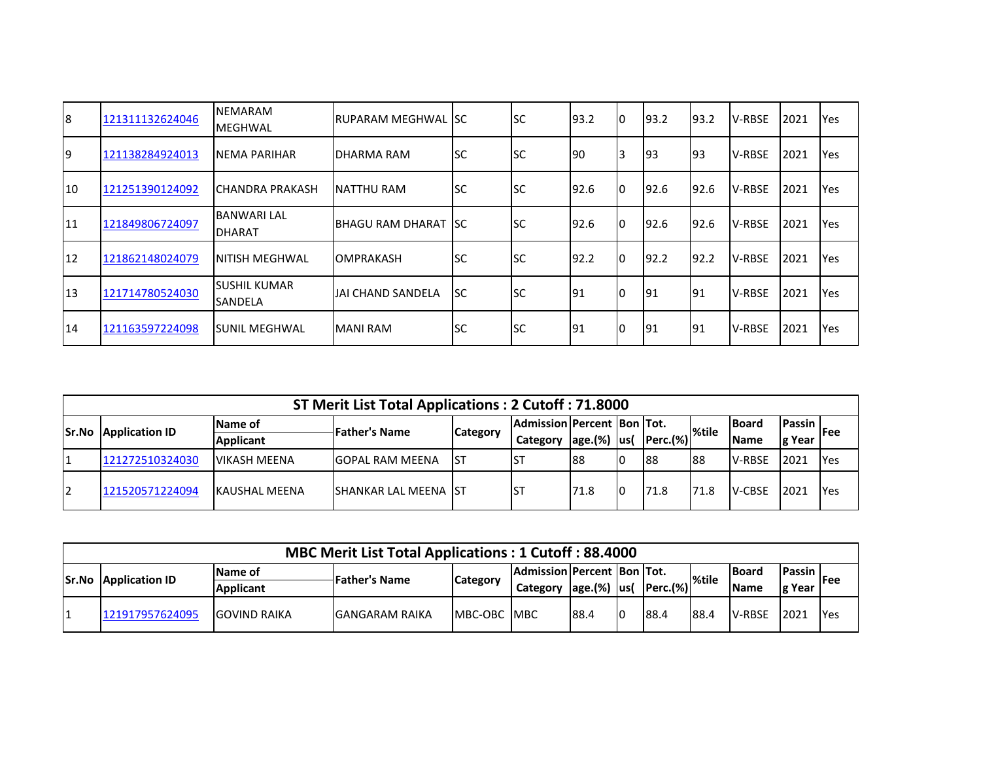| 8  | 121311132624046 | <b>INEMARAM</b><br><b>MEGHWAL</b>      | IRUPARAM MEGHWAL ISC  |           | lsc       | 93.2 | 10 | 193.2 | 93.2       | <b>V-RBSE</b> | 2021 | Yes |
|----|-----------------|----------------------------------------|-----------------------|-----------|-----------|------|----|-------|------------|---------------|------|-----|
| 19 | 121138284924013 | INEMA PARIHAR                          | <b>DHARMA RAM</b>     | lsc       | lsc       | 190  | 3  | 193   | 193        | <b>V-RBSE</b> | 2021 | Yes |
| 10 | 121251390124092 | <b>ICHANDRA PRAKASH</b>                | INATTHU RAM           | lsc       | lsc       | 92.6 | l0 | 92.6  | 92.6       | <b>V-RBSE</b> | 2021 | Yes |
| 11 | 121849806724097 | <b>BANWARI LAL</b><br><b>DHARAT</b>    | IBHAGU RAM DHARAT ISC |           | lsc       | 92.6 | 10 | 92.6  | 92.6       | <b>V-RBSE</b> | 2021 | Yes |
| 12 | 121862148024079 | INITISH MEGHWAL                        | <b>OMPRAKASH</b>      | lsc       | lsc       | 92.2 | Iо | 192.2 | 92.2       | <b>V-RBSE</b> | 2021 | Yes |
| 13 | 121714780524030 | <b>SUSHIL KUMAR</b><br><b>ISANDELA</b> | IJAI CHAND SANDELA    | lsc       | lsc       | 191  | I0 | 191   | <b>191</b> | <b>V-RBSE</b> | 2021 | Yes |
| 14 | 121163597224098 | <b>SUNIL MEGHWAL</b>                   | <b>MANI RAM</b>       | <b>SC</b> | <b>SC</b> | 191  | IО | 191   | 191        | <b>V-RBSE</b> | 2021 | Yes |

|        | ST Merit List Total Applications: 2 Cutoff: 71.8000 |                       |                               |                 |                              |                |    |                                   |      |               |                  |            |  |
|--------|-----------------------------------------------------|-----------------------|-------------------------------|-----------------|------------------------------|----------------|----|-----------------------------------|------|---------------|------------------|------------|--|
|        | <b>Application ID</b>                               | <b>Name of</b>        | <b>IFather's Name</b>         | <b>Category</b> | Admission Percent  Bon  Tot. |                |    |                                   |      | <b>IBoard</b> | <b>IPassin</b> I | lFee       |  |
| lSr.No |                                                     | <b>Applicant</b>      |                               |                 | Category                     | $ age.(%)$ us( |    | - Perc.(%)   <sup>%tile</sup> ادب |      | <b>IName</b>  | g Year           |            |  |
|        | 121272510324030                                     | <b>VIKASH MEENA</b>   | <b>IGOPAL RAM MEENA</b>       | <b>IST</b>      |                              | 188            | IО | 88                                | 188  | <b>V-RBSE</b> | 2021             | <b>Yes</b> |  |
| 12     | 121520571224094                                     | <b>IKAUSHAL MEENA</b> | <b>ISHANKAR LAL MEENA IST</b> |                 |                              | 71.8           | 10 | 71.8                              | 71.8 | <b>V-CBSE</b> | 2021             | <b>Yes</b> |  |

|               | <b>MBC Merit List Total Applications: 1 Cutoff: 88.4000</b>                                                                                                                                                                                                                             |                      |                        |                      |  |      |  |      |      |        |       |        |  |
|---------------|-----------------------------------------------------------------------------------------------------------------------------------------------------------------------------------------------------------------------------------------------------------------------------------------|----------------------|------------------------|----------------------|--|------|--|------|------|--------|-------|--------|--|
| <b>ISr.No</b> | <b>IAdmission Percent   Bon   Tot.</b><br><b>IPassin I</b><br><b>IBoard</b><br><b>Name of</b><br><b>Application ID</b><br><b>Father's Name</b><br>l%tile<br><b>IFee</b><br><b>Category</b><br>Perc.(%) <br>$ age.(%)$ $ us($<br>Ig Year<br><b>Applicant</b><br><b>IName</b><br>Category |                      |                        |                      |  |      |  |      |      |        |       |        |  |
|               | 121917957624095                                                                                                                                                                                                                                                                         | <b>IGOVIND RAIKA</b> | <b>IGANGARAM RAIKA</b> | <b>IMBC-OBC IMBC</b> |  | 88.4 |  | 88.4 | 88.4 | V-RBSE | 12021 | - lYes |  |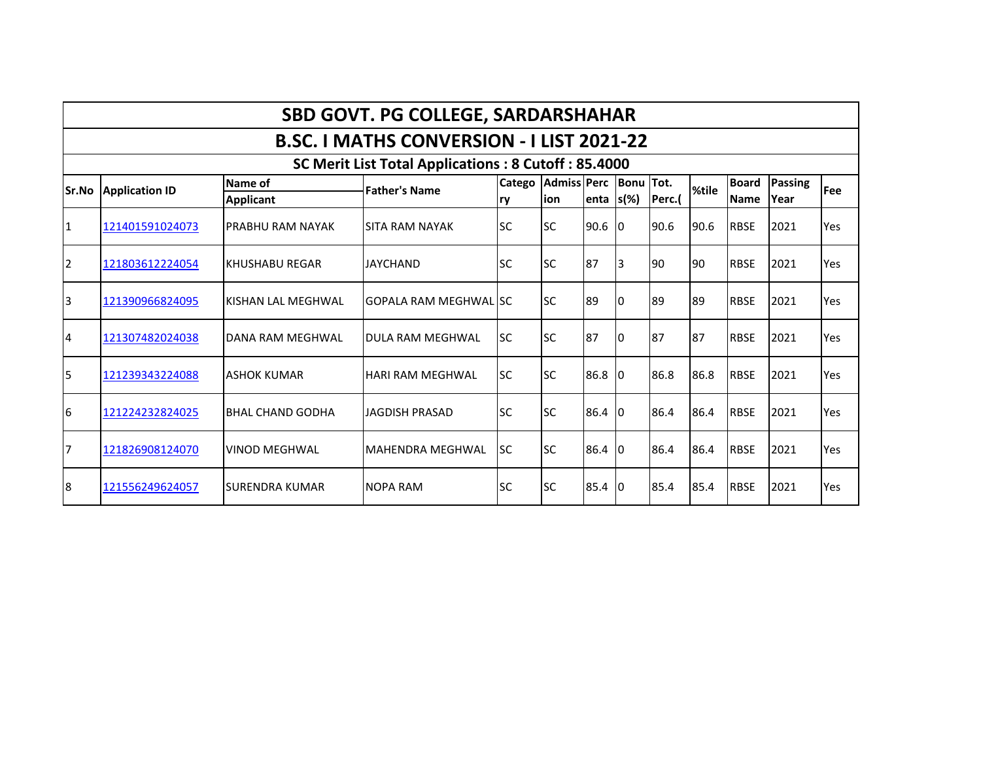|                |                       |                         | <b>SBD GOVT. PG COLLEGE, SARDARSHAHAR</b>           |            |                              |              |    |        |       |              |         |     |
|----------------|-----------------------|-------------------------|-----------------------------------------------------|------------|------------------------------|--------------|----|--------|-------|--------------|---------|-----|
|                |                       |                         | <b>B.SC. I MATHS CONVERSION - I LIST 2021-22</b>    |            |                              |              |    |        |       |              |         |     |
|                |                       |                         | SC Merit List Total Applications: 8 Cutoff: 85.4000 |            |                              |              |    |        |       |              |         |     |
| Sr.No          | <b>Application ID</b> | Name of                 | <b>Father's Name</b>                                |            | Catego Admiss Perc Bonu Tot. |              |    |        | %tile | <b>Board</b> | Passing | Fee |
|                |                       | <b>Applicant</b>        |                                                     | <b>Iry</b> | lion                         | enta $s$ (%) |    | Perc.( |       | <b>Name</b>  | Year    |     |
| 1              | 121401591024073       | PRABHU RAM NAYAK        | <b>SITA RAM NAYAK</b>                               | <b>SC</b>  | lsc                          | 90.6         | 10 | 90.6   | 90.6  | <b>RBSE</b>  | 2021    | Yes |
| $\overline{2}$ | 121803612224054       | <b>KHUSHABU REGAR</b>   | <b>JAYCHAND</b>                                     | lsc        | <b>SC</b>                    | 87           | 3  | 90     | 90    | <b>RBSE</b>  | 2021    | Yes |
| 3              | 121390966824095       | KISHAN LAL MEGHWAL      | GOPALA RAM MEGHWAL ISC                              |            | lsc                          | 89           | I0 | 89     | 89    | <b>RBSE</b>  | 2021    | Yes |
| $\overline{4}$ | 121307482024038       | DANA RAM MEGHWAL        | DULA RAM MEGHWAL                                    | lsc        | <b>SC</b>                    | 87           | 10 | 87     | 87    | <b>RBSE</b>  | 2021    | Yes |
| 5              | 121239343224088       | <b>ASHOK KUMAR</b>      | <b>HARI RAM MEGHWAL</b>                             | lsc        | <b>SC</b>                    | 86.8         | 10 | 86.8   | 86.8  | <b>RBSE</b>  | 2021    | Yes |
| 6              | 121224232824025       | <b>BHAL CHAND GODHA</b> | JAGDISH PRASAD                                      | lsc        | <b>SC</b>                    | 86.4         | 10 | 86.4   | 86.4  | <b>RBSE</b>  | 2021    | Yes |
| 7              | 121826908124070       | <b>VINOD MEGHWAL</b>    | MAHENDRA MEGHWAL                                    | lsc        | lsc                          | 86.4         | 10 | 86.4   | 86.4  | <b>RBSE</b>  | 2021    | Yes |
| 8              | 121556249624057       | <b>SURENDRA KUMAR</b>   | <b>NOPA RAM</b>                                     | lsc        | <b>SC</b>                    | 85.4         | 10 | 85.4   | 85.4  | <b>RBSE</b>  | 2021    | Yes |